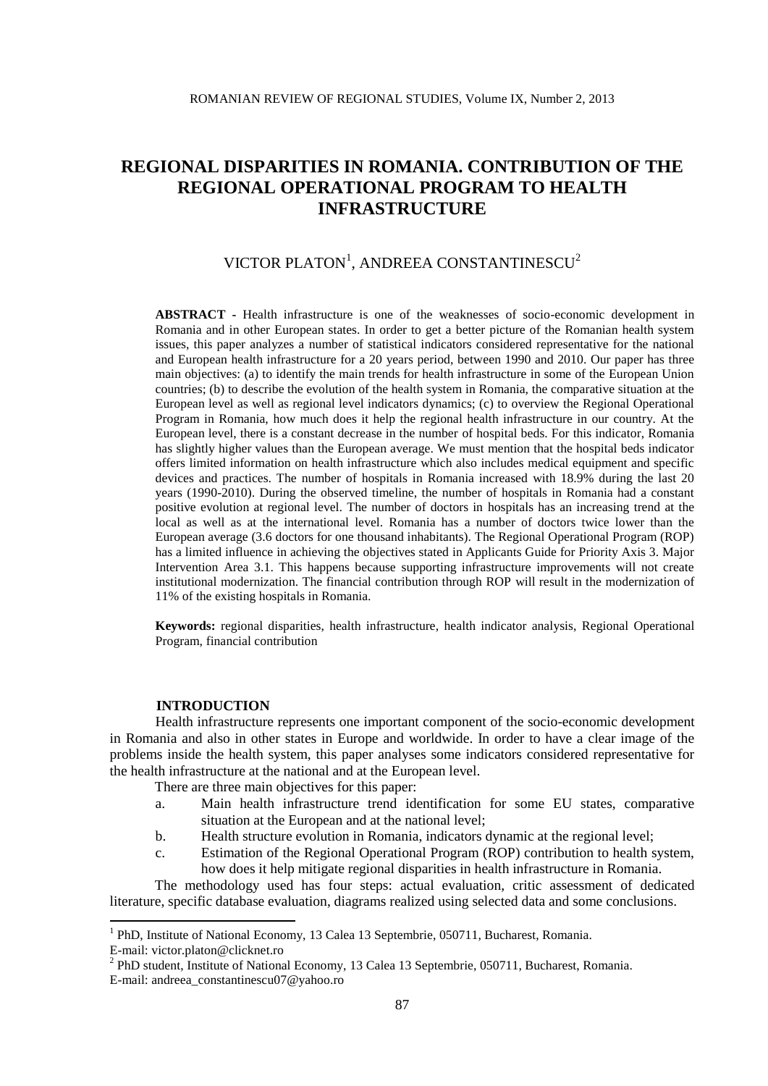# VICTOR PLATON<sup>1</sup>, ANDREEA CONSTANTINESCU<sup>2</sup>

**ABSTRACT -** Health infrastructure is one of the weaknesses of socio-economic development in Romania and in other European states. In order to get a better picture of the Romanian health system issues, this paper analyzes a number of statistical indicators considered representative for the national and European health infrastructure for a 20 years period, between 1990 and 2010. Our paper has three main objectives: (a) to identify the main trends for health infrastructure in some of the European Union countries; (b) to describe the evolution of the health system in Romania, the comparative situation at the European level as well as regional level indicators dynamics; (c) to overview the Regional Operational Program in Romania, how much does it help the regional health infrastructure in our country. At the European level, there is a constant decrease in the number of hospital beds. For this indicator, Romania has slightly higher values than the European average. We must mention that the hospital beds indicator offers limited information on health infrastructure which also includes medical equipment and specific devices and practices. The number of hospitals in Romania increased with 18.9% during the last 20 years (1990-2010). During the observed timeline, the number of hospitals in Romania had a constant positive evolution at regional level. The number of doctors in hospitals has an increasing trend at the local as well as at the international level. Romania has a number of doctors twice lower than the European average (3.6 doctors for one thousand inhabitants). The Regional Operational Program (ROP) has a limited influence in achieving the objectives stated in Applicants Guide for Priority Axis 3. Major Intervention Area 3.1. This happens because supporting infrastructure improvements will not create institutional modernization. The financial contribution through ROP will result in the modernization of 11% of the existing hospitals in Romania.

**Keywords:** regional disparities, health infrastructure, health indicator analysis, Regional Operational Program, financial contribution

### **INTRODUCTION**

**.** 

Health infrastructure represents one important component of the socio-economic development in Romania and also in other states in Europe and worldwide. In order to have a clear image of the problems inside the health system, this paper analyses some indicators considered representative for the health infrastructure at the national and at the European level.

There are three main objectives for this paper:

- a. Main health infrastructure trend identification for some EU states, comparative situation at the European and at the national level;
- b. Health structure evolution in Romania, indicators dynamic at the regional level;
- c. Estimation of the Regional Operational Program (ROP) contribution to health system, how does it help mitigate regional disparities in health infrastructure in Romania.

The methodology used has four steps: actual evaluation, critic assessment of dedicated literature, specific database evaluation, diagrams realized using selected data and some conclusions.

<sup>&</sup>lt;sup>1</sup> PhD, Institute of National Economy, 13 Calea 13 Septembrie, 050711, Bucharest, Romania. E-mail: victor.platon@clicknet.ro

<sup>&</sup>lt;sup>2</sup> PhD student, Institute of National Economy, 13 Calea 13 Septembrie, 050711, Bucharest, Romania. E-mail: andreea\_constantinescu07@yahoo.ro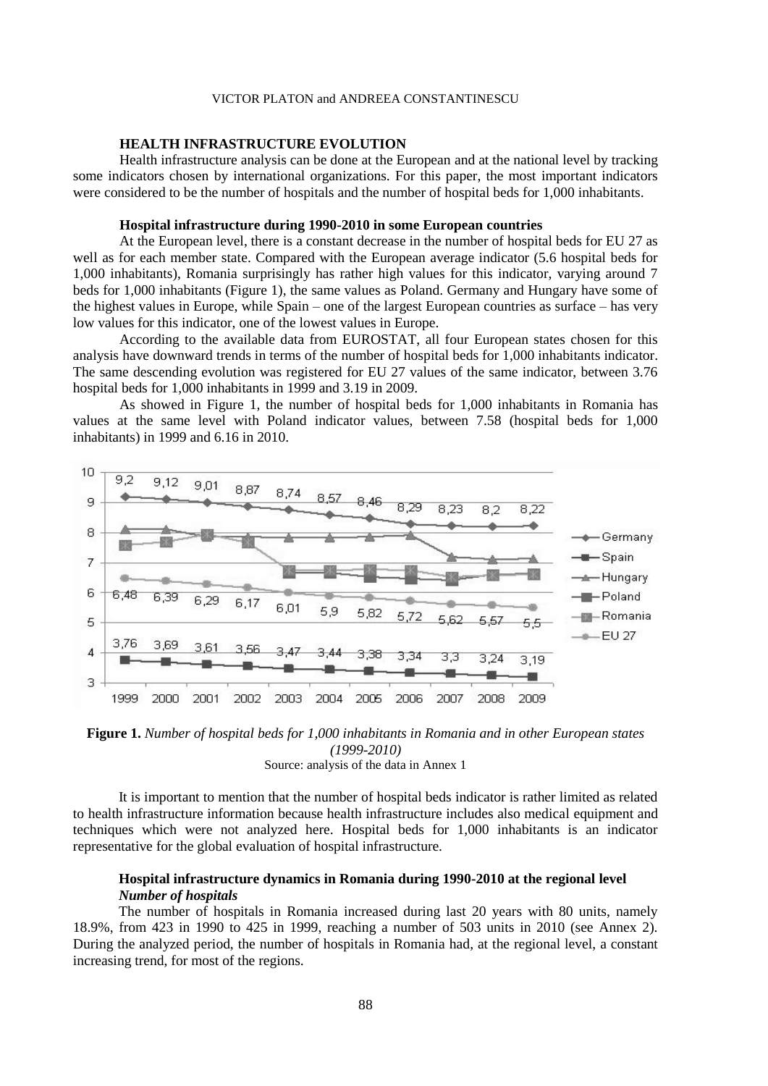# **HEALTH INFRASTRUCTURE EVOLUTION**

Health infrastructure analysis can be done at the European and at the national level by tracking some indicators chosen by international organizations. For this paper, the most important indicators were considered to be the number of hospitals and the number of hospital beds for 1,000 inhabitants.

# **Hospital infrastructure during 1990-2010 in some European countries**

At the European level, there is a constant decrease in the number of hospital beds for EU 27 as well as for each member state. Compared with the European average indicator (5.6 hospital beds for 1,000 inhabitants), Romania surprisingly has rather high values for this indicator, varying around 7 beds for 1,000 inhabitants (Figure 1), the same values as Poland. Germany and Hungary have some of the highest values in Europe, while Spain – one of the largest European countries as surface – has very low values for this indicator, one of the lowest values in Europe.

According to the available data from EUROSTAT, all four European states chosen for this analysis have downward trends in terms of the number of hospital beds for 1,000 inhabitants indicator. The same descending evolution was registered for EU 27 values of the same indicator, between 3.76 hospital beds for 1,000 inhabitants in 1999 and 3.19 in 2009.

As showed in Figure 1, the number of hospital beds for 1,000 inhabitants in Romania has values at the same level with Poland indicator values, between 7.58 (hospital beds for 1,000 inhabitants) in 1999 and 6.16 in 2010.



**Figure 1.** *Number of hospital beds for 1,000 inhabitants in Romania and in other European states (1999-2010)* Source: analysis of the data in Annex 1

It is important to mention that the number of hospital beds indicator is rather limited as related to health infrastructure information because health infrastructure includes also medical equipment and techniques which were not analyzed here. Hospital beds for 1,000 inhabitants is an indicator representative for the global evaluation of hospital infrastructure.

# **Hospital infrastructure dynamics in Romania during 1990-2010 at the regional level** *Number of hospitals*

The number of hospitals in Romania increased during last 20 years with 80 units, namely 18.9%, from 423 in 1990 to 425 in 1999, reaching a number of 503 units in 2010 (see Annex 2). During the analyzed period, the number of hospitals in Romania had, at the regional level, a constant increasing trend, for most of the regions.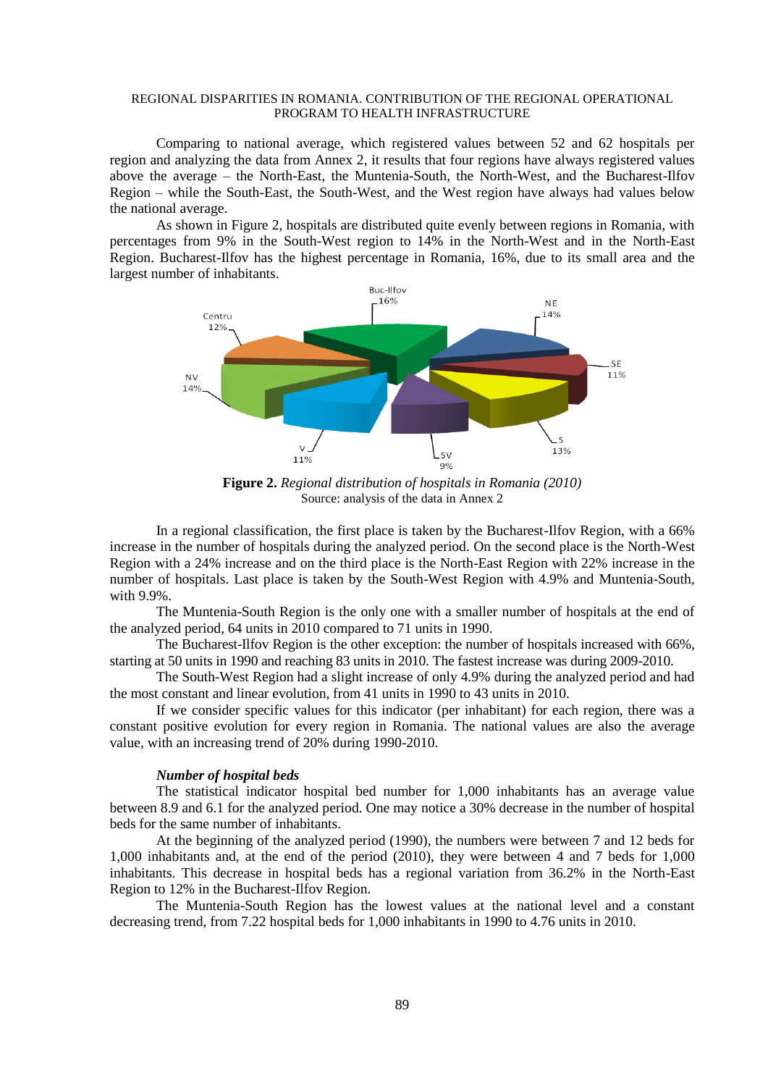Comparing to national average, which registered values between 52 and 62 hospitals per region and analyzing the data from Annex 2, it results that four regions have always registered values above the average – the North-East, the Muntenia-South, the North-West, and the Bucharest-Ilfov Region – while the South-East, the South-West, and the West region have always had values below the national average.

As shown in Figure 2, hospitals are distributed quite evenly between regions in Romania, with percentages from 9% in the South-West region to 14% in the North-West and in the North-East Region. Bucharest-Ilfov has the highest percentage in Romania, 16%, due to its small area and the largest number of inhabitants.



**Figure 2.** *Regional distribution of hospitals in Romania (2010)* Source: analysis of the data in Annex 2

In a regional classification, the first place is taken by the Bucharest-Ilfov Region, with a 66% increase in the number of hospitals during the analyzed period. On the second place is the North-West Region with a 24% increase and on the third place is the North-East Region with 22% increase in the number of hospitals. Last place is taken by the South-West Region with 4.9% and Muntenia-South, with 9.9%.

The Muntenia-South Region is the only one with a smaller number of hospitals at the end of the analyzed period, 64 units in 2010 compared to 71 units in 1990.

The Bucharest-Ilfov Region is the other exception: the number of hospitals increased with 66%, starting at 50 units in 1990 and reaching 83 units in 2010. The fastest increase was during 2009-2010.

The South-West Region had a slight increase of only 4.9% during the analyzed period and had the most constant and linear evolution, from 41 units in 1990 to 43 units in 2010.

If we consider specific values for this indicator (per inhabitant) for each region, there was a constant positive evolution for every region in Romania. The national values are also the average value, with an increasing trend of 20% during 1990-2010.

### *Number of hospital beds*

The statistical indicator hospital bed number for 1,000 inhabitants has an average value between 8.9 and 6.1 for the analyzed period. One may notice a 30% decrease in the number of hospital beds for the same number of inhabitants.

At the beginning of the analyzed period (1990), the numbers were between 7 and 12 beds for 1,000 inhabitants and, at the end of the period (2010), they were between 4 and 7 beds for 1,000 inhabitants. This decrease in hospital beds has a regional variation from 36.2% in the North-East Region to 12% in the Bucharest-Ilfov Region.

The Muntenia-South Region has the lowest values at the national level and a constant decreasing trend, from 7.22 hospital beds for 1,000 inhabitants in 1990 to 4.76 units in 2010.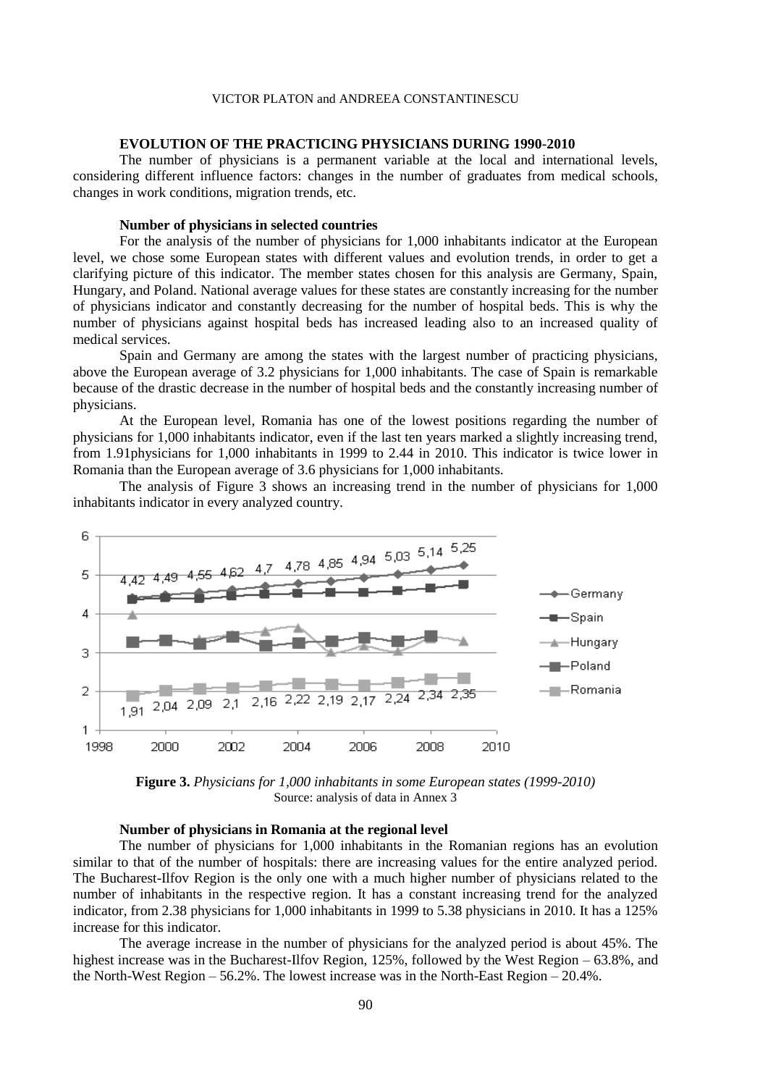### **EVOLUTION OF THE PRACTICING PHYSICIANS DURING 1990-2010**

The number of physicians is a permanent variable at the local and international levels, considering different influence factors: changes in the number of graduates from medical schools, changes in work conditions, migration trends, etc.

# **Number of physicians in selected countries**

For the analysis of the number of physicians for 1,000 inhabitants indicator at the European level, we chose some European states with different values and evolution trends, in order to get a clarifying picture of this indicator. The member states chosen for this analysis are Germany, Spain, Hungary, and Poland. National average values for these states are constantly increasing for the number of physicians indicator and constantly decreasing for the number of hospital beds. This is why the number of physicians against hospital beds has increased leading also to an increased quality of medical services.

Spain and Germany are among the states with the largest number of practicing physicians, above the European average of 3.2 physicians for 1,000 inhabitants. The case of Spain is remarkable because of the drastic decrease in the number of hospital beds and the constantly increasing number of physicians.

At the European level, Romania has one of the lowest positions regarding the number of physicians for 1,000 inhabitants indicator, even if the last ten years marked a slightly increasing trend, from 1.91physicians for 1,000 inhabitants in 1999 to 2.44 in 2010. This indicator is twice lower in Romania than the European average of 3.6 physicians for 1,000 inhabitants.

The analysis of Figure 3 shows an increasing trend in the number of physicians for 1,000 inhabitants indicator in every analyzed country.



**Figure 3.** *Physicians for 1,000 inhabitants in some European states (1999-2010)* Source: analysis of data in Annex 3

## **Number of physicians in Romania at the regional level**

The number of physicians for 1,000 inhabitants in the Romanian regions has an evolution similar to that of the number of hospitals: there are increasing values for the entire analyzed period. The Bucharest-Ilfov Region is the only one with a much higher number of physicians related to the number of inhabitants in the respective region. It has a constant increasing trend for the analyzed indicator, from 2.38 physicians for 1,000 inhabitants in 1999 to 5.38 physicians in 2010. It has a 125% increase for this indicator.

The average increase in the number of physicians for the analyzed period is about 45%. The highest increase was in the Bucharest-Ilfov Region, 125%, followed by the West Region – 63.8%, and the North-West Region – 56.2%. The lowest increase was in the North-East Region – 20.4%.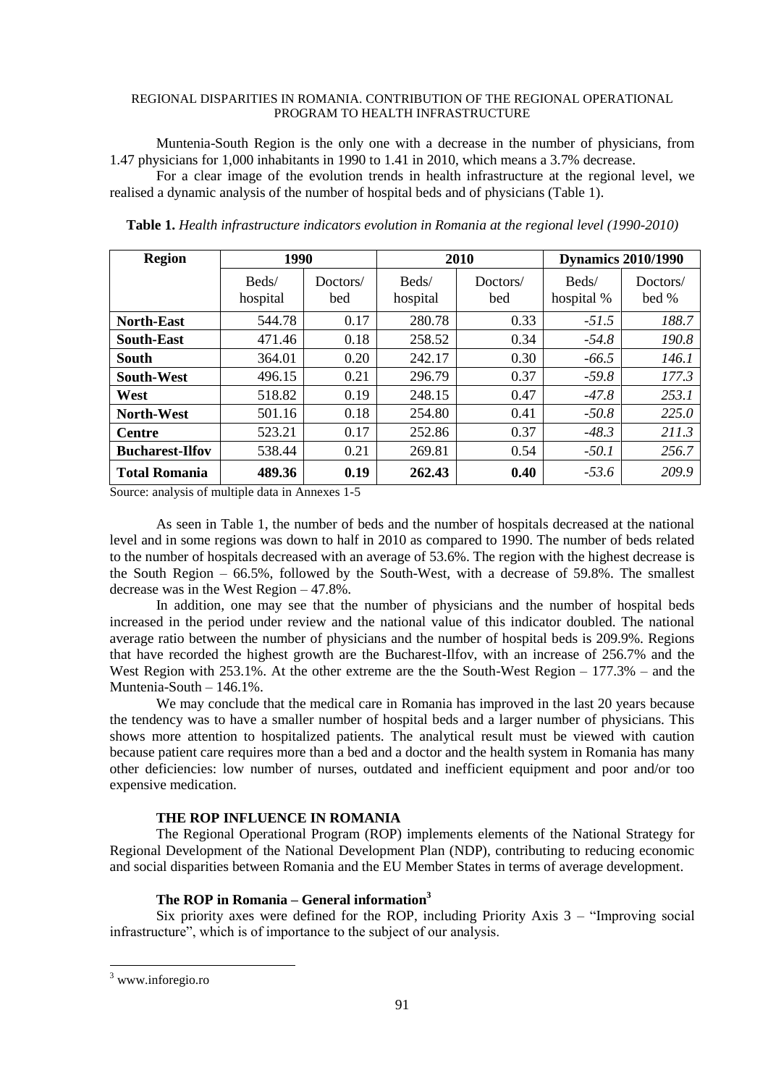Muntenia-South Region is the only one with a decrease in the number of physicians, from 1.47 physicians for 1,000 inhabitants in 1990 to 1.41 in 2010, which means a 3.7% decrease.

For a clear image of the evolution trends in health infrastructure at the regional level, we realised a dynamic analysis of the number of hospital beds and of physicians (Table 1).

| <b>Region</b>          | 1990              |                 |                   | 2010            |                     | <b>Dynamics 2010/1990</b> |
|------------------------|-------------------|-----------------|-------------------|-----------------|---------------------|---------------------------|
|                        | Beds/<br>hospital | Doctors/<br>bed | Beds/<br>hospital | Doctors/<br>bed | Beds/<br>hospital % | Doctors/<br>bed %         |
| <b>North-East</b>      | 544.78            | 0.17            | 280.78            | 0.33            | $-51.5$             | 188.7                     |
| <b>South-East</b>      | 471.46            | 0.18            | 258.52            | 0.34            | $-54.8$             | 190.8                     |
| South                  | 364.01            | 0.20            | 242.17            | 0.30            | $-66.5$             | 146.1                     |
| <b>South-West</b>      | 496.15            | 0.21            | 296.79            | 0.37            | $-59.8$             | 177.3                     |
| West                   | 518.82            | 0.19            | 248.15            | 0.47            | $-47.8$             | 253.1                     |
| <b>North-West</b>      | 501.16            | 0.18            | 254.80            | 0.41            | $-50.8$             | 225.0                     |
| <b>Centre</b>          | 523.21            | 0.17            | 252.86            | 0.37            | $-48.3$             | 211.3                     |
| <b>Bucharest-Ilfov</b> | 538.44            | 0.21            | 269.81            | 0.54            | $-50.1$             | 256.7                     |
| <b>Total Romania</b>   | 489.36            | 0.19            | 262.43            | 0.40            | $-53.6$             | 209.9                     |

**Table 1.** *Health infrastructure indicators evolution in Romania at the regional level (1990-2010)*

Source: analysis of multiple data in Annexes 1-5

As seen in Table 1, the number of beds and the number of hospitals decreased at the national level and in some regions was down to half in 2010 as compared to 1990. The number of beds related to the number of hospitals decreased with an average of 53.6%. The region with the highest decrease is the South Region – 66.5%, followed by the South-West, with a decrease of 59.8%. The smallest decrease was in the West Region – 47.8%.

In addition, one may see that the number of physicians and the number of hospital beds increased in the period under review and the national value of this indicator doubled. The national average ratio between the number of physicians and the number of hospital beds is 209.9%. Regions that have recorded the highest growth are the Bucharest-Ilfov, with an increase of 256.7% and the West Region with 253.1%. At the other extreme are the the South-West Region – 177.3% – and the Muntenia-South – 146.1%.

We may conclude that the medical care in Romania has improved in the last 20 years because the tendency was to have a smaller number of hospital beds and a larger number of physicians. This shows more attention to hospitalized patients. The analytical result must be viewed with caution because patient care requires more than a bed and a doctor and the health system in Romania has many other deficiencies: low number of nurses, outdated and inefficient equipment and poor and/or too expensive medication.

# **THE ROP INFLUENCE IN ROMANIA**

The Regional Operational Program (ROP) implements elements of the National Strategy for Regional Development of the National Development Plan (NDP), contributing to reducing economic and social disparities between Romania and the EU Member States in terms of average development.

# **The ROP in Romania – General information<sup>3</sup>**

Six priority axes were defined for the ROP, including Priority Axis 3 – "Improving social infrastructure", which is of importance to the subject of our analysis.

**.** 

<sup>3</sup> www.inforegio.ro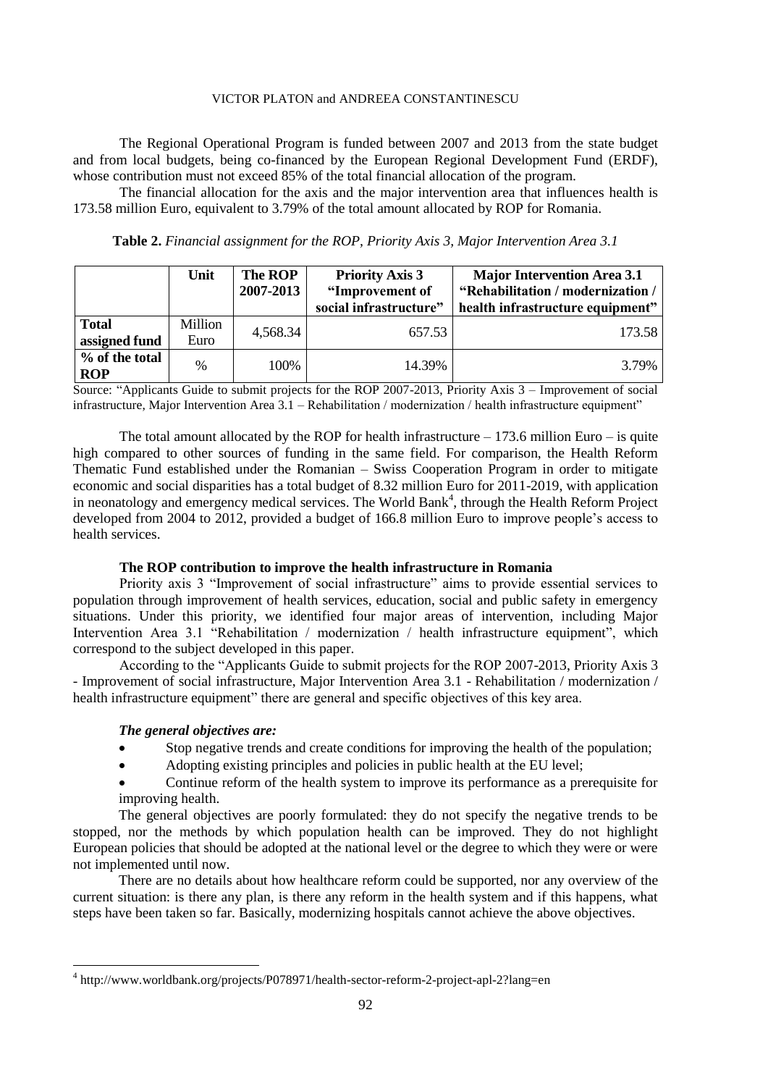The Regional Operational Program is funded between 2007 and 2013 from the state budget and from local budgets, being co-financed by the European Regional Development Fund (ERDF), whose contribution must not exceed 85% of the total financial allocation of the program.

The financial allocation for the axis and the major intervention area that influences health is 173.58 million Euro, equivalent to 3.79% of the total amount allocated by ROP for Romania.

**Table 2.** *Financial assignment for the ROP, Priority Axis 3, Major Intervention Area 3.1*

|                               | Unit            | The ROP<br>2007-2013 | <b>Priority Axis 3</b><br>"Improvement of<br>social infrastructure" | <b>Major Intervention Area 3.1</b><br>"Rehabilitation / modernization /<br>health infrastructure equipment" |
|-------------------------------|-----------------|----------------------|---------------------------------------------------------------------|-------------------------------------------------------------------------------------------------------------|
| <b>Total</b><br>assigned fund | Million<br>Euro | 4,568.34             | 657.53                                                              | 173.58                                                                                                      |
| % of the total<br><b>ROP</b>  | $\frac{0}{0}$   | 100%                 | 14.39%                                                              | 3.79%                                                                                                       |

Source: "Applicants Guide to submit projects for the ROP 2007-2013, Priority Axis 3 – Improvement of social infrastructure, Major Intervention Area 3.1 – Rehabilitation / modernization / health infrastructure equipment"

The total amount allocated by the ROP for health infrastructure  $-173.6$  million Euro  $-$  is quite high compared to other sources of funding in the same field. For comparison, the Health Reform Thematic Fund established under the Romanian – Swiss Cooperation Program in order to mitigate economic and social disparities has a total budget of 8.32 million Euro for 2011-2019, with application in neonatology and emergency medical services. The World Bank<sup>4</sup>, through the Health Reform Project developed from 2004 to 2012, provided a budget of 166.8 million Euro to improve people's access to health services.

# **The ROP contribution to improve the health infrastructure in Romania**

Priority axis 3 "Improvement of social infrastructure" aims to provide essential services to population through improvement of health services, education, social and public safety in emergency situations. Under this priority, we identified four major areas of intervention, including Major Intervention Area 3.1 "Rehabilitation / modernization / health infrastructure equipment", which correspond to the subject developed in this paper.

According to the "Applicants Guide to submit projects for the ROP 2007-2013, Priority Axis 3 - Improvement of social infrastructure, Major Intervention Area 3.1 - Rehabilitation / modernization / health infrastructure equipment" there are general and specific objectives of this key area.

# *The general objectives are:*

**.** 

- Stop negative trends and create conditions for improving the health of the population;
- Adopting existing principles and policies in public health at the EU level;

 Continue reform of the health system to improve its performance as a prerequisite for improving health.

The general objectives are poorly formulated: they do not specify the negative trends to be stopped, nor the methods by which population health can be improved. They do not highlight European policies that should be adopted at the national level or the degree to which they were or were not implemented until now.

There are no details about how healthcare reform could be supported, nor any overview of the current situation: is there any plan, is there any reform in the health system and if this happens, what steps have been taken so far. Basically, modernizing hospitals cannot achieve the above objectives.

<sup>&</sup>lt;sup>4</sup> http://www.worldbank.org/projects/P078971/health-sector-reform-2-project-apl-2?lang=en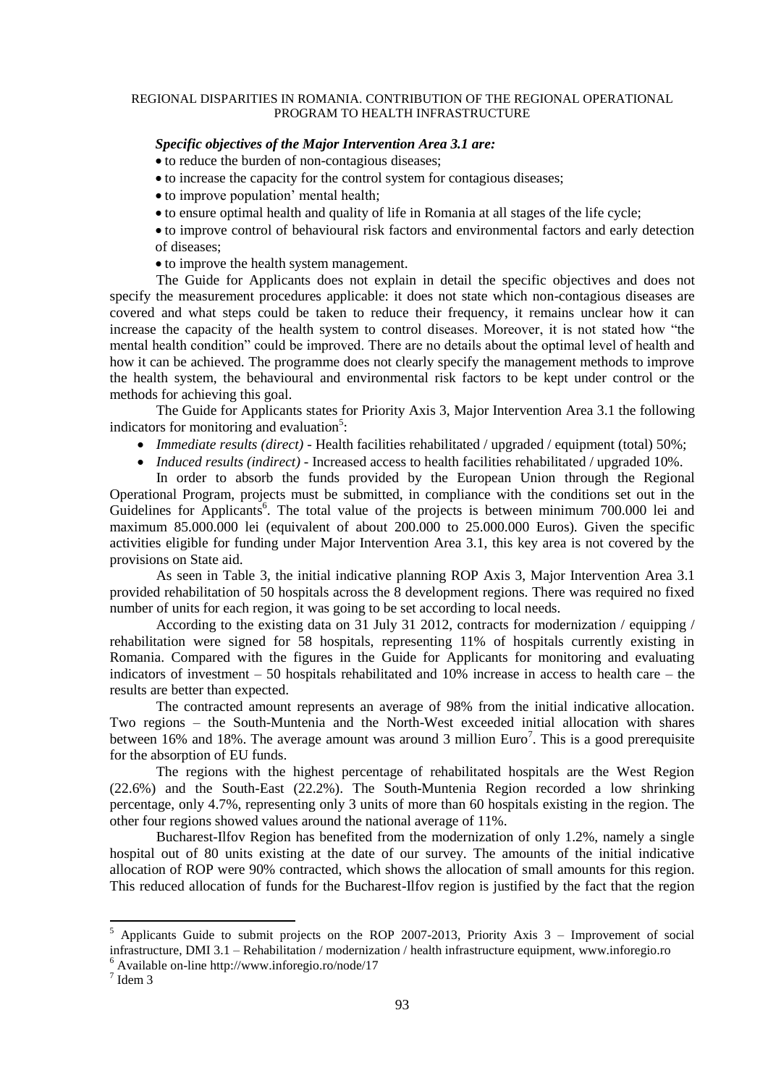### *Specific objectives of the Major Intervention Area 3.1 are:*

to reduce the burden of non-contagious diseases;

- to increase the capacity for the control system for contagious diseases;
- to improve population' mental health;
- to ensure optimal health and quality of life in Romania at all stages of the life cycle;

 to improve control of behavioural risk factors and environmental factors and early detection of diseases;

• to improve the health system management.

The Guide for Applicants does not explain in detail the specific objectives and does not specify the measurement procedures applicable: it does not state which non-contagious diseases are covered and what steps could be taken to reduce their frequency, it remains unclear how it can increase the capacity of the health system to control diseases. Moreover, it is not stated how "the mental health condition" could be improved. There are no details about the optimal level of health and how it can be achieved. The programme does not clearly specify the management methods to improve the health system, the behavioural and environmental risk factors to be kept under control or the methods for achieving this goal.

The Guide for Applicants states for Priority Axis 3, Major Intervention Area 3.1 the following indicators for monitoring and evaluation<sup>5</sup>:

- *Immediate results (direct) -* Health facilities rehabilitated / upgraded / equipment (total) 50%;
- *Induced results (indirect)* Increased access to health facilities rehabilitated / upgraded 10%.

In order to absorb the funds provided by the European Union through the Regional Operational Program, projects must be submitted, in compliance with the conditions set out in the Guidelines for Applicants<sup>6</sup>. The total value of the projects is between minimum 700.000 lei and maximum 85.000.000 lei (equivalent of about 200.000 to 25.000.000 Euros). Given the specific activities eligible for funding under Major Intervention Area 3.1, this key area is not covered by the provisions on State aid.

As seen in Table 3, the initial indicative planning ROP Axis 3, Major Intervention Area 3.1 provided rehabilitation of 50 hospitals across the 8 development regions. There was required no fixed number of units for each region, it was going to be set according to local needs.

According to the existing data on 31 July 31 2012, contracts for modernization / equipping / rehabilitation were signed for 58 hospitals, representing 11% of hospitals currently existing in Romania. Compared with the figures in the Guide for Applicants for monitoring and evaluating indicators of investment – 50 hospitals rehabilitated and 10% increase in access to health care – the results are better than expected.

The contracted amount represents an average of 98% from the initial indicative allocation. Two regions – the South-Muntenia and the North-West exceeded initial allocation with shares between 16% and 18%. The average amount was around 3 million  $Euro<sup>7</sup>$ . This is a good prerequisite for the absorption of EU funds.

The regions with the highest percentage of rehabilitated hospitals are the West Region (22.6%) and the South-East (22.2%). The South-Muntenia Region recorded a low shrinking percentage, only 4.7%, representing only 3 units of more than 60 hospitals existing in the region. The other four regions showed values around the national average of 11%.

Bucharest-Ilfov Region has benefited from the modernization of only 1.2%, namely a single hospital out of 80 units existing at the date of our survey. The amounts of the initial indicative allocation of ROP were 90% contracted, which shows the allocation of small amounts for this region. This reduced allocation of funds for the Bucharest-Ilfov region is justified by the fact that the region

**.** 

<sup>5</sup> Applicants Guide to submit projects on the ROP 2007-2013, Priority Axis 3 – Improvement of social infrastructure, DMI 3.1 – Rehabilitation / modernization / health infrastructure equipment, www.inforegio.ro

<sup>6</sup> Available on-line http://www.inforegio.ro/node/17

 $<sup>7</sup>$  Idem 3</sup>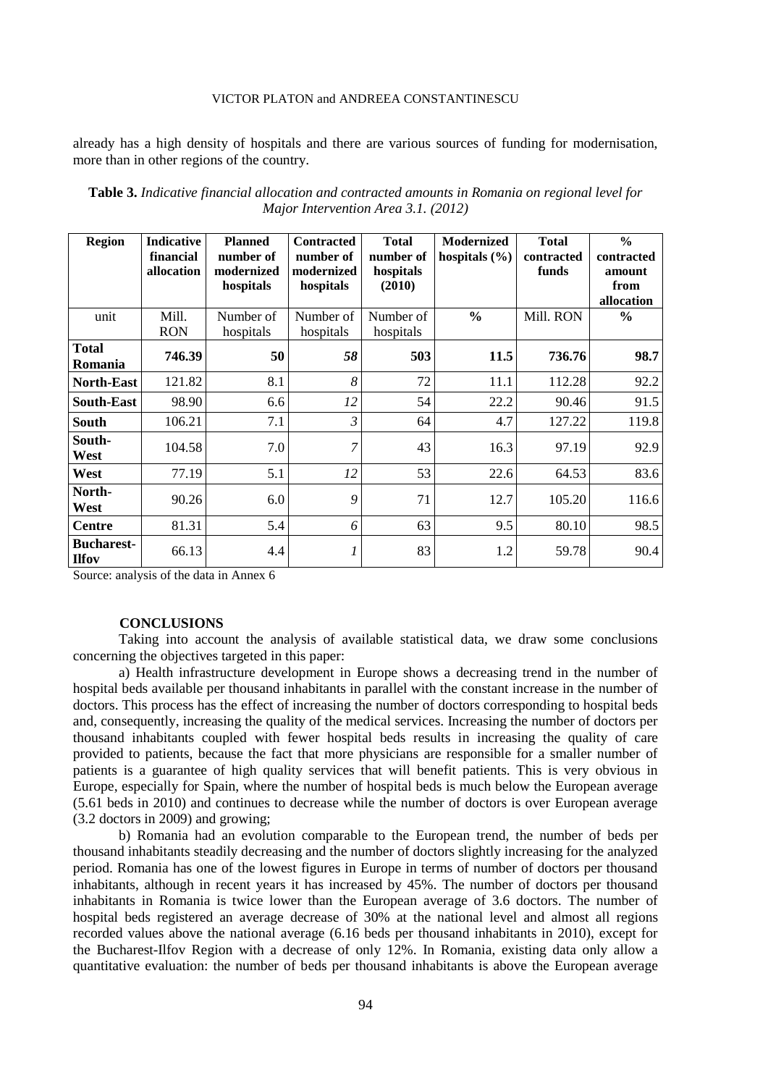already has a high density of hospitals and there are various sources of funding for modernisation, more than in other regions of the country.

| <b>Region</b>                     | <b>Indicative</b> | <b>Planned</b> | <b>Contracted</b> | <b>Total</b> | <b>Modernized</b> | <b>Total</b> | $\frac{0}{0}$ |
|-----------------------------------|-------------------|----------------|-------------------|--------------|-------------------|--------------|---------------|
|                                   | financial         | number of      | number of         | number of    | hospitals $(\% )$ | contracted   | contracted    |
|                                   | allocation        | modernized     | modernized        | hospitals    |                   | funds        | amount        |
|                                   |                   | hospitals      | hospitals         | (2010)       |                   |              | from          |
|                                   |                   |                |                   |              |                   |              | allocation    |
| unit                              | Mill.             | Number of      | Number of         | Number of    | $\frac{0}{0}$     | Mill. RON    | $\frac{6}{9}$ |
|                                   | <b>RON</b>        | hospitals      | hospitals         | hospitals    |                   |              |               |
| <b>Total</b><br>Romania           | 746.39            | 50             | 58                | 503          | 11.5              | 736.76       | 98.7          |
| <b>North-East</b>                 | 121.82            | 8.1            | 8                 | 72           | 11.1              | 112.28       | 92.2          |
| South-East                        | 98.90             | 6.6            | 12                | 54           | 22.2              | 90.46        | 91.5          |
| <b>South</b>                      | 106.21            | 7.1            | $\mathfrak{Z}$    | 64           | 4.7               | 127.22       | 119.8         |
| South-<br>West                    | 104.58            | 7.0            | $\overline{7}$    | 43           | 16.3              | 97.19        | 92.9          |
| West                              | 77.19             | 5.1            | 12                | 53           | 22.6              | 64.53        | 83.6          |
| North-<br>West                    | 90.26             | 6.0            | 9                 | 71           | 12.7              | 105.20       | 116.6         |
| Centre                            | 81.31             | 5.4            | 6                 | 63           | 9.5               | 80.10        | 98.5          |
| <b>Bucharest-</b><br><b>Ilfov</b> | 66.13             | 4.4            |                   | 83           | 1.2               | 59.78        | 90.4          |

**Table 3.** *Indicative financial allocation and contracted amounts in Romania on regional level for Major Intervention Area 3.1. (2012)*

Source: analysis of the data in Annex 6

#### **CONCLUSIONS**

Taking into account the analysis of available statistical data, we draw some conclusions concerning the objectives targeted in this paper:

a) Health infrastructure development in Europe shows a decreasing trend in the number of hospital beds available per thousand inhabitants in parallel with the constant increase in the number of doctors. This process has the effect of increasing the number of doctors corresponding to hospital beds and, consequently, increasing the quality of the medical services. Increasing the number of doctors per thousand inhabitants coupled with fewer hospital beds results in increasing the quality of care provided to patients, because the fact that more physicians are responsible for a smaller number of patients is a guarantee of high quality services that will benefit patients. This is very obvious in Europe, especially for Spain, where the number of hospital beds is much below the European average (5.61 beds in 2010) and continues to decrease while the number of doctors is over European average (3.2 doctors in 2009) and growing;

b) Romania had an evolution comparable to the European trend, the number of beds per thousand inhabitants steadily decreasing and the number of doctors slightly increasing for the analyzed period. Romania has one of the lowest figures in Europe in terms of number of doctors per thousand inhabitants, although in recent years it has increased by 45%. The number of doctors per thousand inhabitants in Romania is twice lower than the European average of 3.6 doctors. The number of hospital beds registered an average decrease of 30% at the national level and almost all regions recorded values above the national average (6.16 beds per thousand inhabitants in 2010), except for the Bucharest-Ilfov Region with a decrease of only 12%. In Romania, existing data only allow a quantitative evaluation: the number of beds per thousand inhabitants is above the European average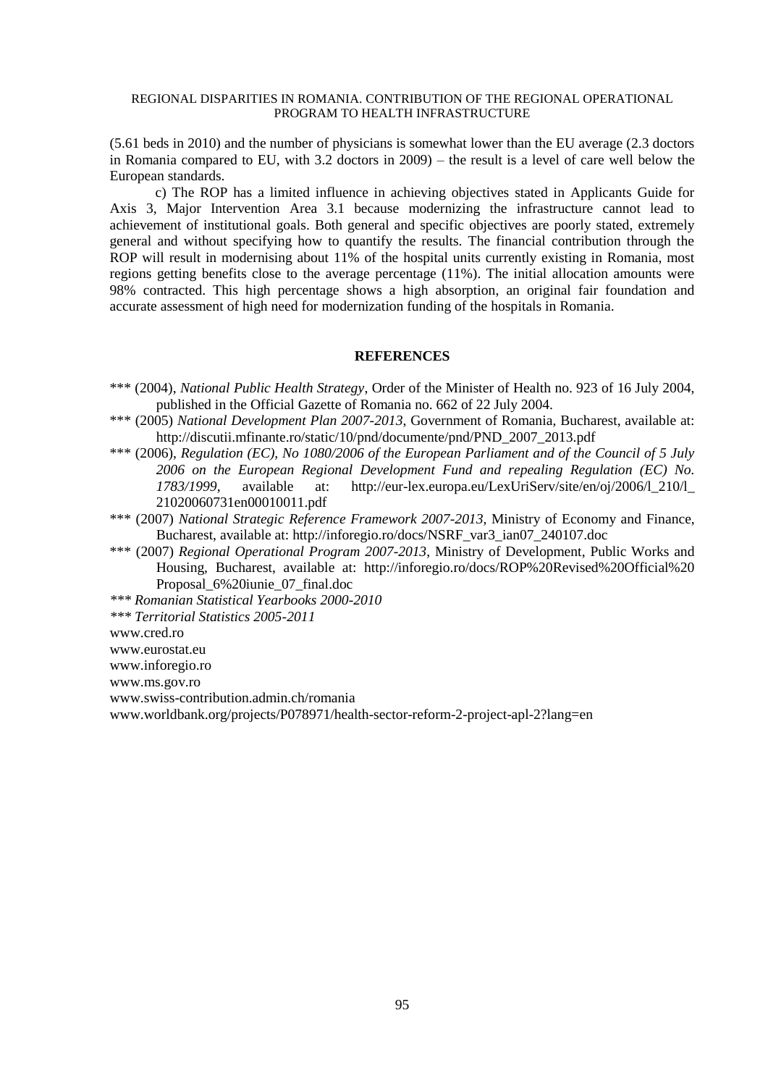(5.61 beds in 2010) and the number of physicians is somewhat lower than the EU average (2.3 doctors in Romania compared to EU, with 3.2 doctors in 2009) – the result is a level of care well below the European standards.

c) The ROP has a limited influence in achieving objectives stated in Applicants Guide for Axis 3, Major Intervention Area 3.1 because modernizing the infrastructure cannot lead to achievement of institutional goals. Both general and specific objectives are poorly stated, extremely general and without specifying how to quantify the results. The financial contribution through the ROP will result in modernising about 11% of the hospital units currently existing in Romania, most regions getting benefits close to the average percentage (11%). The initial allocation amounts were 98% contracted. This high percentage shows a high absorption, an original fair foundation and accurate assessment of high need for modernization funding of the hospitals in Romania.

### **REFERENCES**

- \*\*\* (2004), *National Public Health Strategy*, Order of the Minister of Health no. 923 of 16 July 2004, published in the Official Gazette of Romania no. 662 of 22 July 2004.
- \*\*\* (2005) *National Development Plan 2007-2013*, Government of Romania, Bucharest, available at: http://discutii.mfinante.ro/static/10/pnd/documente/pnd/PND\_2007\_2013.pdf
- \*\*\* (2006), *Regulation (EC), No 1080/2006 of the European Parliament and of the Council of 5 July 2006 on the European Regional Development Fund and repealing Regulation (EC) No. 1783/1999*, available at: http://eur-lex.europa.eu/LexUriServ/site/en/oj/2006/l\_210/l\_ 21020060731en00010011.pdf
- \*\*\* (2007) *National Strategic Reference Framework 2007-2013*, Ministry of Economy and Finance, Bucharest, available at: http://inforegio.ro/docs/NSRF\_var3\_ian07\_240107.doc
- \*\*\* (2007) *Regional Operational Program 2007-2013*, Ministry of Development, Public Works and Housing, Bucharest, available at: http://inforegio.ro/docs/ROP%20Revised%20Official%20 Proposal\_6%20iunie\_07\_final.doc

*\*\*\* Romanian Statistical Yearbooks 2000-2010* 

*\*\*\* Territorial Statistics 2005-2011*

www.cred.ro

www.eurostat.eu

www.inforegio.ro

www.ms.gov.ro

www.swiss-contribution.admin.ch/romania

www.worldbank.org/projects/P078971/health-sector-reform-2-project-apl-2?lang=en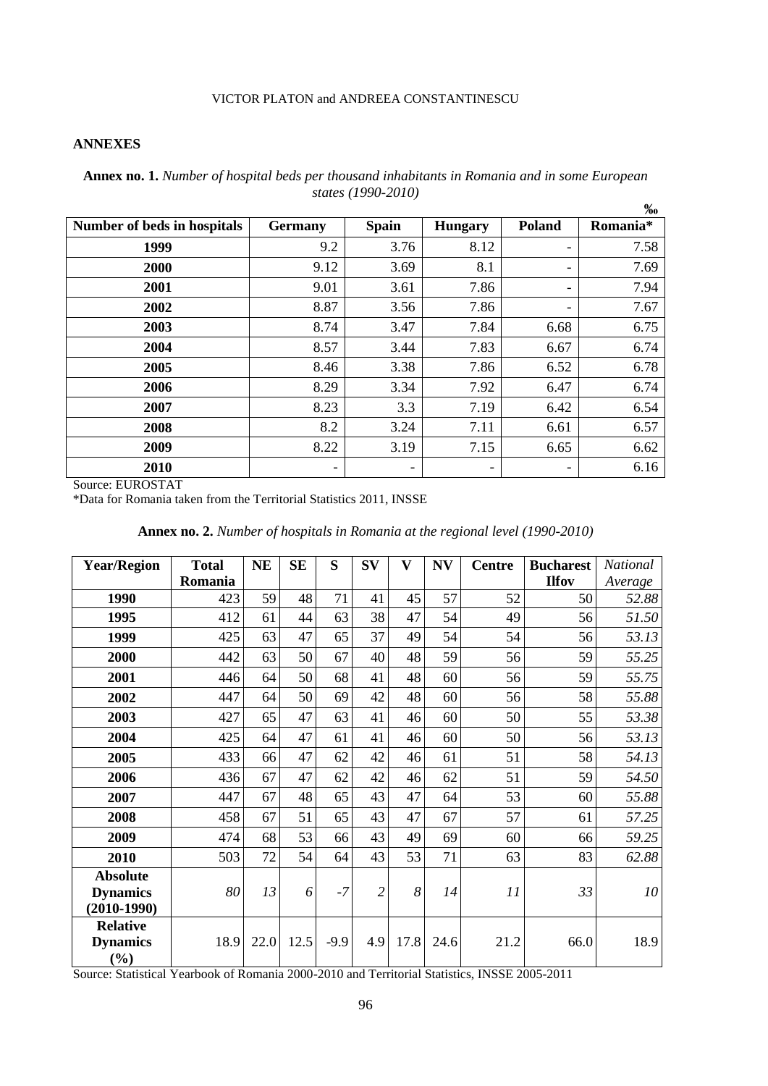# **ANNEXES**

|                             |                          |                          |                |               | 700      |
|-----------------------------|--------------------------|--------------------------|----------------|---------------|----------|
| Number of beds in hospitals | <b>Germany</b>           | <b>Spain</b>             | <b>Hungary</b> | <b>Poland</b> | Romania* |
| 1999                        | 9.2                      | 3.76                     | 8.12           |               | 7.58     |
| 2000                        | 9.12                     | 3.69                     | 8.1            |               | 7.69     |
| 2001                        | 9.01                     | 3.61                     | 7.86           |               | 7.94     |
| 2002                        | 8.87                     | 3.56                     | 7.86           |               | 7.67     |
| 2003                        | 8.74                     | 3.47                     | 7.84           | 6.68          | 6.75     |
| 2004                        | 8.57                     | 3.44                     | 7.83           | 6.67          | 6.74     |
| 2005                        | 8.46                     | 3.38                     | 7.86           | 6.52          | 6.78     |
| 2006                        | 8.29                     | 3.34                     | 7.92           | 6.47          | 6.74     |
| 2007                        | 8.23                     | 3.3                      | 7.19           | 6.42          | 6.54     |
| 2008                        | 8.2                      | 3.24                     | 7.11           | 6.61          | 6.57     |
| 2009                        | 8.22                     | 3.19                     | 7.15           | 6.65          | 6.62     |
| 2010                        | $\overline{\phantom{a}}$ | $\overline{\phantom{a}}$ | -              |               | 6.16     |

**Annex no. 1.** *Number of hospital beds per thousand inhabitants in Romania and in some European states (1990-2010)* **‰**

Source: EUROSTAT

\*Data for Romania taken from the Territorial Statistics 2011, INSSE

| Annex no. 2. Number of hospitals in Romania at the regional level (1990-2010) |  |  |  |  |
|-------------------------------------------------------------------------------|--|--|--|--|
|-------------------------------------------------------------------------------|--|--|--|--|

| <b>Year/Region</b>                 | <b>Total</b> | <b>NE</b> | <b>SE</b> | S      | $S_{V}$        | $\overline{\mathbf{V}}$ | N V  | <b>Centre</b> | <b>Bucharest</b> | National |
|------------------------------------|--------------|-----------|-----------|--------|----------------|-------------------------|------|---------------|------------------|----------|
|                                    | Romania      |           |           |        |                |                         |      |               | <b>Ilfov</b>     | Average  |
| 1990                               | 423          | 59        | 48        | 71     | 41             | 45                      | 57   | 52            | 50               | 52.88    |
| 1995                               | 412          | 61        | 44        | 63     | 38             | 47                      | 54   | 49            | 56               | 51.50    |
| 1999                               | 425          | 63        | 47        | 65     | 37             | 49                      | 54   | 54            | 56               | 53.13    |
| 2000                               | 442          | 63        | 50        | 67     | 40             | 48                      | 59   | 56            | 59               | 55.25    |
| 2001                               | 446          | 64        | 50        | 68     | 41             | 48                      | 60   | 56            | 59               | 55.75    |
| 2002                               | 447          | 64        | 50        | 69     | 42             | 48                      | 60   | 56            | 58               | 55.88    |
| 2003                               | 427          | 65        | 47        | 63     | 41             | 46                      | 60   | 50            | 55               | 53.38    |
| 2004                               | 425          | 64        | 47        | 61     | 41             | 46                      | 60   | 50            | 56               | 53.13    |
| 2005                               | 433          | 66        | 47        | 62     | 42             | 46                      | 61   | 51            | 58               | 54.13    |
| 2006                               | 436          | 67        | 47        | 62     | 42             | 46                      | 62   | 51            | 59               | 54.50    |
| 2007                               | 447          | 67        | 48        | 65     | 43             | 47                      | 64   | 53            | 60               | 55.88    |
| 2008                               | 458          | 67        | 51        | 65     | 43             | 47                      | 67   | 57            | 61               | 57.25    |
| 2009                               | 474          | 68        | 53        | 66     | 43             | 49                      | 69   | 60            | 66               | 59.25    |
| 2010                               | 503          | 72        | 54        | 64     | 43             | 53                      | 71   | 63            | 83               | 62.88    |
| <b>Absolute</b><br><b>Dynamics</b> | 80           | 13        | 6         | $-7$   | $\overline{c}$ | 8                       | 14   | 11            | 33               | 10       |
| $(2010-1990)$                      |              |           |           |        |                |                         |      |               |                  |          |
| <b>Relative</b>                    |              |           |           |        |                |                         |      |               |                  |          |
| <b>Dynamics</b><br>$(\%)$          | 18.9         | 22.0      | 12.5      | $-9.9$ | 4.9            | 17.8                    | 24.6 | 21.2          | 66.0             | 18.9     |

Source: Statistical Yearbook of Romania 2000-2010 and Territorial Statistics, INSSE 2005-2011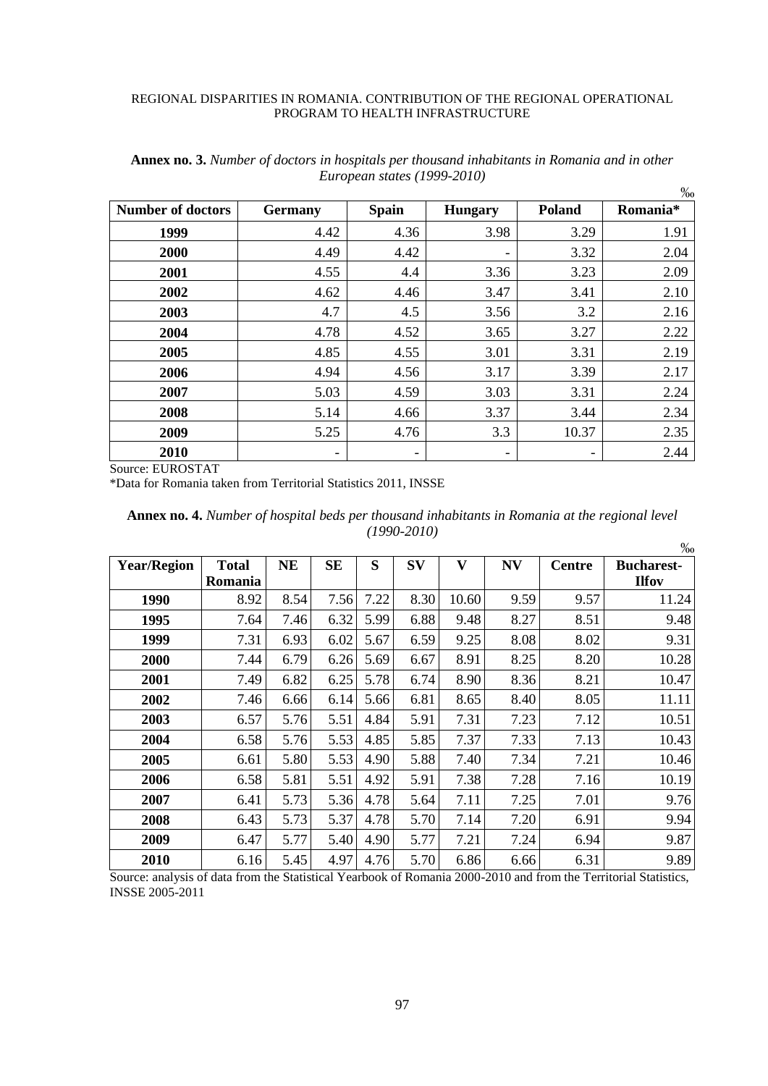|                          |                |                          |                |        | $\%$     |
|--------------------------|----------------|--------------------------|----------------|--------|----------|
| <b>Number of doctors</b> | <b>Germany</b> | <b>Spain</b>             | <b>Hungary</b> | Poland | Romania* |
| 1999                     | 4.42           | 4.36                     | 3.98           | 3.29   | 1.91     |
| 2000                     | 4.49           | 4.42                     |                | 3.32   | 2.04     |
| 2001                     | 4.55           | 4.4                      | 3.36           | 3.23   | 2.09     |
| 2002                     | 4.62           | 4.46                     | 3.47           | 3.41   | 2.10     |
| 2003                     | 4.7            | 4.5                      | 3.56           | 3.2    | 2.16     |
| 2004                     | 4.78           | 4.52                     | 3.65           | 3.27   | 2.22     |
| 2005                     | 4.85           | 4.55                     | 3.01           | 3.31   | 2.19     |
| 2006                     | 4.94           | 4.56                     | 3.17           | 3.39   | 2.17     |
| 2007                     | 5.03           | 4.59                     | 3.03           | 3.31   | 2.24     |
| 2008                     | 5.14           | 4.66                     | 3.37           | 3.44   | 2.34     |
| 2009                     | 5.25           | 4.76                     | 3.3            | 10.37  | 2.35     |
| 2010                     | -              | $\overline{\phantom{a}}$ | -              | ٠      | 2.44     |

**Annex no. 3.** *Number of doctors in hospitals per thousand inhabitants in Romania and in other European states (1999-2010)*

Source: EUROSTAT

\*Data for Romania taken from Territorial Statistics 2011, INSSE

|                    |                |           |           |      |           |                         |      |               | %                 |
|--------------------|----------------|-----------|-----------|------|-----------|-------------------------|------|---------------|-------------------|
| <b>Year/Region</b> | <b>Total</b>   | <b>NE</b> | <b>SE</b> | S    | <b>SV</b> | $\overline{\mathbf{V}}$ | N V  | <b>Centre</b> | <b>Bucharest-</b> |
|                    | <b>Romania</b> |           |           |      |           |                         |      |               | <b>Ilfov</b>      |
| 1990               | 8.92           | 8.54      | 7.56      | 7.22 | 8.30      | 10.60                   | 9.59 | 9.57          | 11.24             |
| 1995               | 7.64           | 7.46      | 6.32      | 5.99 | 6.88      | 9.48                    | 8.27 | 8.51          | 9.48              |
| 1999               | 7.31           | 6.93      | 6.02      | 5.67 | 6.59      | 9.25                    | 8.08 | 8.02          | 9.31              |
| 2000               | 7.44           | 6.79      | 6.26      | 5.69 | 6.67      | 8.91                    | 8.25 | 8.20          | 10.28             |
| 2001               | 7.49           | 6.82      | 6.25      | 5.78 | 6.74      | 8.90                    | 8.36 | 8.21          | 10.47             |
| 2002               | 7.46           | 6.66      | 6.14      | 5.66 | 6.81      | 8.65                    | 8.40 | 8.05          | 11.11             |
| 2003               | 6.57           | 5.76      | 5.51      | 4.84 | 5.91      | 7.31                    | 7.23 | 7.12          | 10.51             |
| 2004               | 6.58           | 5.76      | 5.53      | 4.85 | 5.85      | 7.37                    | 7.33 | 7.13          | 10.43             |
| 2005               | 6.61           | 5.80      | 5.53      | 4.90 | 5.88      | 7.40                    | 7.34 | 7.21          | 10.46             |
| 2006               | 6.58           | 5.81      | 5.51      | 4.92 | 5.91      | 7.38                    | 7.28 | 7.16          | 10.19             |
| 2007               | 6.41           | 5.73      | 5.36      | 4.78 | 5.64      | 7.11                    | 7.25 | 7.01          | 9.76              |
| 2008               | 6.43           | 5.73      | 5.37      | 4.78 | 5.70      | 7.14                    | 7.20 | 6.91          | 9.94              |
| 2009               | 6.47           | 5.77      | 5.40      | 4.90 | 5.77      | 7.21                    | 7.24 | 6.94          | 9.87              |
| 2010               | 6.16           | 5.45      | 4.97      | 4.76 | 5.70      | 6.86                    | 6.66 | 6.31          | 9.89              |

**Annex no. 4.** *Number of hospital beds per thousand inhabitants in Romania at the regional level (1990-2010)*

Source: analysis of data from the Statistical Yearbook of Romania 2000-2010 and from the Territorial Statistics, INSSE 2005-2011